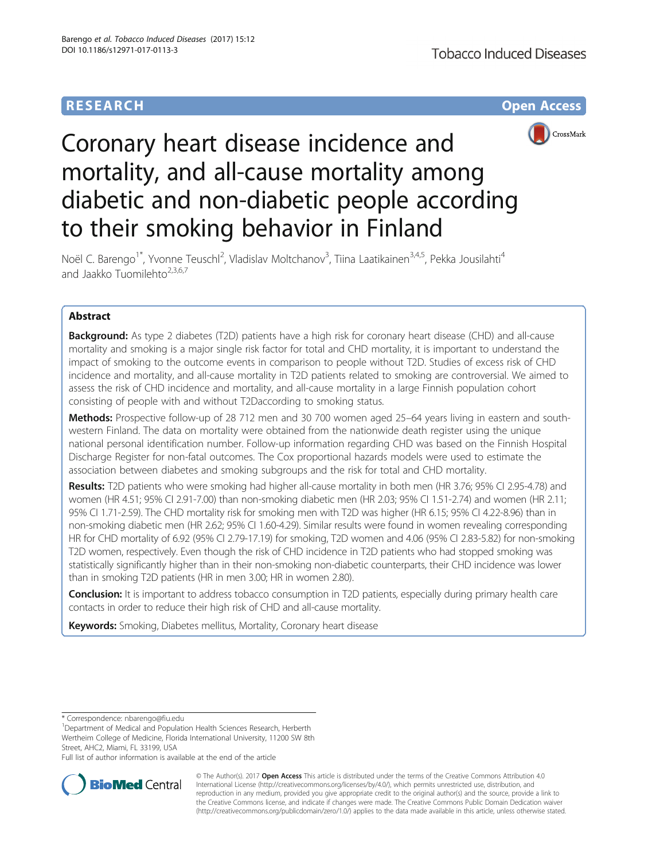# **RESEARCH CHE Open Access**



# Coronary heart disease incidence and mortality, and all-cause mortality among diabetic and non-diabetic people according to their smoking behavior in Finland

Noël C. Barengo<sup>1\*</sup>, Yvonne Teuschl<sup>2</sup>, Vladislav Moltchanov<sup>3</sup>, Tiina Laatikainen<sup>3,4,5</sup>, Pekka Jousilahti<sup>4</sup> and Jaakko Tuomilehto $2,3,6,7$ 

# Abstract

**Background:** As type 2 diabetes (T2D) patients have a high risk for coronary heart disease (CHD) and all-cause mortality and smoking is a major single risk factor for total and CHD mortality, it is important to understand the impact of smoking to the outcome events in comparison to people without T2D. Studies of excess risk of CHD incidence and mortality, and all-cause mortality in T2D patients related to smoking are controversial. We aimed to assess the risk of CHD incidence and mortality, and all-cause mortality in a large Finnish population cohort consisting of people with and without T2Daccording to smoking status.

Methods: Prospective follow-up of 28 712 men and 30 700 women aged 25–64 years living in eastern and southwestern Finland. The data on mortality were obtained from the nationwide death register using the unique national personal identification number. Follow-up information regarding CHD was based on the Finnish Hospital Discharge Register for non-fatal outcomes. The Cox proportional hazards models were used to estimate the association between diabetes and smoking subgroups and the risk for total and CHD mortality.

Results: T2D patients who were smoking had higher all-cause mortality in both men (HR 3.76; 95% CI 2.95-4.78) and women (HR 4.51; 95% CI 2.91-7.00) than non-smoking diabetic men (HR 2.03; 95% CI 1.51-2.74) and women (HR 2.11; 95% CI 1.71-2.59). The CHD mortality risk for smoking men with T2D was higher (HR 6.15; 95% CI 4.22-8.96) than in non-smoking diabetic men (HR 2.62; 95% CI 1.60-4.29). Similar results were found in women revealing corresponding HR for CHD mortality of 6.92 (95% CI 2.79-17.19) for smoking, T2D women and 4.06 (95% CI 2.83-5.82) for non-smoking T2D women, respectively. Even though the risk of CHD incidence in T2D patients who had stopped smoking was statistically significantly higher than in their non-smoking non-diabetic counterparts, their CHD incidence was lower than in smoking T2D patients (HR in men 3.00; HR in women 2.80).

Conclusion: It is important to address tobacco consumption in T2D patients, especially during primary health care contacts in order to reduce their high risk of CHD and all-cause mortality.

Keywords: Smoking, Diabetes mellitus, Mortality, Coronary heart disease

\* Correspondence: [nbarengo@fiu.edu](mailto:nbarengo@fiu.edu) <sup>1</sup>

<sup>1</sup>Department of Medical and Population Health Sciences Research, Herberth Wertheim College of Medicine, Florida International University, 11200 SW 8th Street, AHC2, Miami, FL 33199, USA

Full list of author information is available at the end of the article



© The Author(s). 2017 **Open Access** This article is distributed under the terms of the Creative Commons Attribution 4.0 International License [\(http://creativecommons.org/licenses/by/4.0/](http://creativecommons.org/licenses/by/4.0/)), which permits unrestricted use, distribution, and reproduction in any medium, provided you give appropriate credit to the original author(s) and the source, provide a link to the Creative Commons license, and indicate if changes were made. The Creative Commons Public Domain Dedication waiver [\(http://creativecommons.org/publicdomain/zero/1.0/](http://creativecommons.org/publicdomain/zero/1.0/)) applies to the data made available in this article, unless otherwise stated.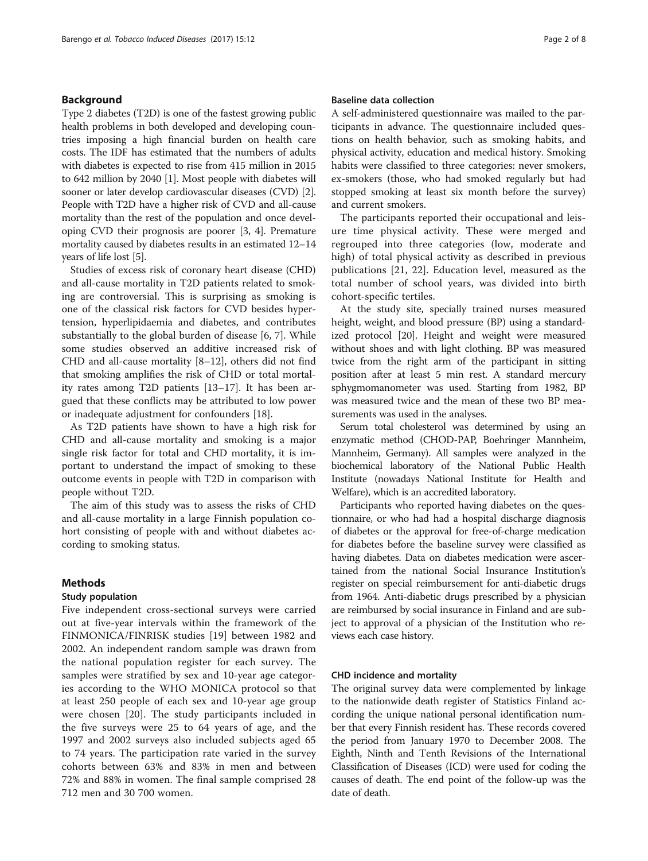# Background

Type 2 diabetes (T2D) is one of the fastest growing public health problems in both developed and developing countries imposing a high financial burden on health care costs. The IDF has estimated that the numbers of adults with diabetes is expected to rise from 415 million in 2015 to 642 million by 2040 [\[1](#page-6-0)]. Most people with diabetes will sooner or later develop cardiovascular diseases (CVD) [[2](#page-6-0)]. People with T2D have a higher risk of CVD and all-cause mortality than the rest of the population and once developing CVD their prognosis are poorer [[3](#page-6-0), [4](#page-6-0)]. Premature mortality caused by diabetes results in an estimated 12–14 years of life lost [[5](#page-6-0)].

Studies of excess risk of coronary heart disease (CHD) and all-cause mortality in T2D patients related to smoking are controversial. This is surprising as smoking is one of the classical risk factors for CVD besides hypertension, hyperlipidaemia and diabetes, and contributes substantially to the global burden of disease [[6, 7](#page-6-0)]. While some studies observed an additive increased risk of CHD and all-cause mortality [[8](#page-6-0)–[12](#page-6-0)], others did not find that smoking amplifies the risk of CHD or total mortality rates among T2D patients [[13](#page-6-0)–[17](#page-6-0)]. It has been argued that these conflicts may be attributed to low power or inadequate adjustment for confounders [[18\]](#page-6-0).

As T2D patients have shown to have a high risk for CHD and all-cause mortality and smoking is a major single risk factor for total and CHD mortality, it is important to understand the impact of smoking to these outcome events in people with T2D in comparison with people without T2D.

The aim of this study was to assess the risks of CHD and all-cause mortality in a large Finnish population cohort consisting of people with and without diabetes according to smoking status.

# Methods

#### Study population

Five independent cross-sectional surveys were carried out at five-year intervals within the framework of the FINMONICA/FINRISK studies [[19\]](#page-6-0) between 1982 and 2002. An independent random sample was drawn from the national population register for each survey. The samples were stratified by sex and 10-year age categories according to the WHO MONICA protocol so that at least 250 people of each sex and 10-year age group were chosen [[20\]](#page-7-0). The study participants included in the five surveys were 25 to 64 years of age, and the 1997 and 2002 surveys also included subjects aged 65 to 74 years. The participation rate varied in the survey cohorts between 63% and 83% in men and between 72% and 88% in women. The final sample comprised 28 712 men and 30 700 women.

# Baseline data collection

A self-administered questionnaire was mailed to the participants in advance. The questionnaire included questions on health behavior, such as smoking habits, and physical activity, education and medical history. Smoking habits were classified to three categories: never smokers, ex-smokers (those, who had smoked regularly but had stopped smoking at least six month before the survey) and current smokers.

The participants reported their occupational and leisure time physical activity. These were merged and regrouped into three categories (low, moderate and high) of total physical activity as described in previous publications [[21, 22\]](#page-7-0). Education level, measured as the total number of school years, was divided into birth cohort-specific tertiles.

At the study site, specially trained nurses measured height, weight, and blood pressure (BP) using a standardized protocol [\[20\]](#page-7-0). Height and weight were measured without shoes and with light clothing. BP was measured twice from the right arm of the participant in sitting position after at least 5 min rest. A standard mercury sphygmomanometer was used. Starting from 1982, BP was measured twice and the mean of these two BP measurements was used in the analyses.

Serum total cholesterol was determined by using an enzymatic method (CHOD-PAP, Boehringer Mannheim, Mannheim, Germany). All samples were analyzed in the biochemical laboratory of the National Public Health Institute (nowadays National Institute for Health and Welfare), which is an accredited laboratory.

Participants who reported having diabetes on the questionnaire, or who had had a hospital discharge diagnosis of diabetes or the approval for free-of-charge medication for diabetes before the baseline survey were classified as having diabetes. Data on diabetes medication were ascertained from the national Social Insurance Institution's register on special reimbursement for anti-diabetic drugs from 1964. Anti-diabetic drugs prescribed by a physician are reimbursed by social insurance in Finland and are subject to approval of a physician of the Institution who reviews each case history.

# CHD incidence and mortality

The original survey data were complemented by linkage to the nationwide death register of Statistics Finland according the unique national personal identification number that every Finnish resident has. These records covered the period from January 1970 to December 2008. The Eighth, Ninth and Tenth Revisions of the International Classification of Diseases (ICD) were used for coding the causes of death. The end point of the follow-up was the date of death.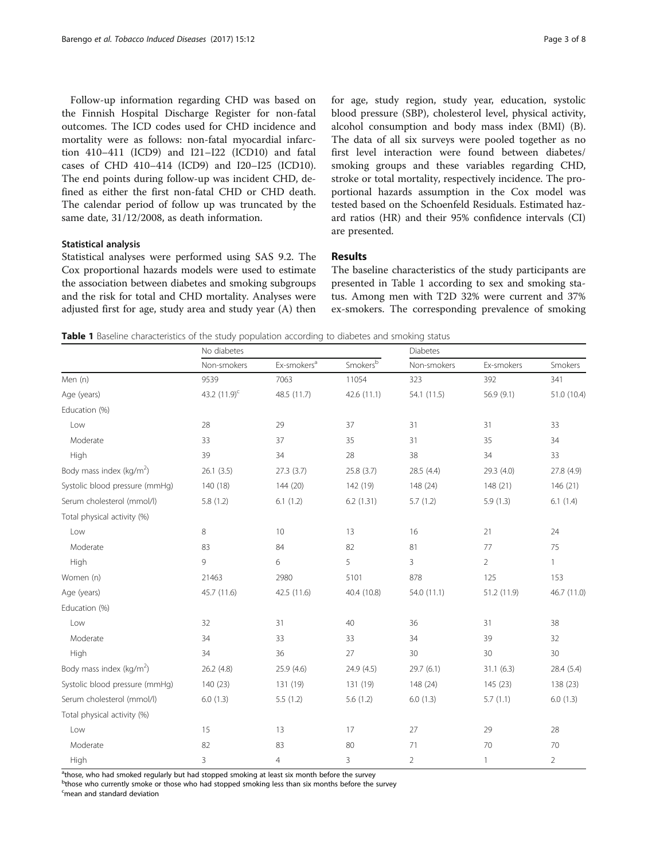Follow-up information regarding CHD was based on the Finnish Hospital Discharge Register for non-fatal outcomes. The ICD codes used for CHD incidence and mortality were as follows: non-fatal myocardial infarction 410–411 (ICD9) and I21–I22 (ICD10) and fatal cases of CHD 410–414 (ICD9) and I20–I25 (ICD10). The end points during follow-up was incident CHD, defined as either the first non-fatal CHD or CHD death. The calendar period of follow up was truncated by the same date, 31/12/2008, as death information.

# Statistical analysis

Statistical analyses were performed using SAS 9.2. The Cox proportional hazards models were used to estimate the association between diabetes and smoking subgroups and the risk for total and CHD mortality. Analyses were adjusted first for age, study area and study year (A) then for age, study region, study year, education, systolic blood pressure (SBP), cholesterol level, physical activity, alcohol consumption and body mass index (BMI) (B). The data of all six surveys were pooled together as no first level interaction were found between diabetes/ smoking groups and these variables regarding CHD, stroke or total mortality, respectively incidence. The proportional hazards assumption in the Cox model was tested based on the Schoenfeld Residuals. Estimated hazard ratios (HR) and their 95% confidence intervals (CI) are presented.

# Results

The baseline characteristics of the study participants are presented in Table 1 according to sex and smoking status. Among men with T2D 32% were current and 37% ex-smokers. The corresponding prevalence of smoking

Table 1 Baseline characteristics of the study population according to diabetes and smoking status

|                                      | No diabetes       |                         |                                | <b>Diabetes</b> |                |                |
|--------------------------------------|-------------------|-------------------------|--------------------------------|-----------------|----------------|----------------|
|                                      | Non-smokers       | Ex-smokers <sup>a</sup> | $\mathsf{Smokes}^{\mathsf{b}}$ | Non-smokers     | Ex-smokers     | Smokers        |
| Men (n)                              | 9539              | 7063                    | 11054                          | 323             | 392            | 341            |
| Age (years)                          | 43.2 $(11.9)^{c}$ | 48.5 (11.7)             | 42.6 (11.1)                    | 54.1 (11.5)     | 56.9 (9.1)     | 51.0 (10.4)    |
| Education (%)                        |                   |                         |                                |                 |                |                |
| Low                                  | 28                | 29                      | 37                             | 31              | 31             | 33             |
| Moderate                             | 33                | 37                      | 35                             | 31              | 35             | 34             |
| High                                 | 39                | 34                      | 28                             | 38              | 34             | 33             |
| Body mass index ( $kg/m2$ )          | 26.1(3.5)         | 27.3(3.7)               | 25.8 (3.7)                     | 28.5 (4.4)      | 29.3 (4.0)     | 27.8 (4.9)     |
| Systolic blood pressure (mmHq)       | 140 (18)          | 144 (20)                | 142 (19)                       | 148 (24)        | 148 (21)       | 146(21)        |
| Serum cholesterol (mmol/l)           | 5.8(1.2)          | 6.1(1.2)                | 6.2(1.31)                      | 5.7(1.2)        | 5.9(1.3)       | 6.1(1.4)       |
| Total physical activity (%)          |                   |                         |                                |                 |                |                |
| Low                                  | 8                 | 10                      | 13                             | 16              | 21             | 24             |
| Moderate                             | 83                | 84                      | 82                             | 81              | 77             | 75             |
| High                                 | 9                 | 6                       | 5                              | 3               | $\overline{2}$ | $\mathbf{1}$   |
| Women (n)                            | 21463             | 2980                    | 5101                           | 878             | 125            | 153            |
| Age (years)                          | 45.7 (11.6)       | 42.5 (11.6)             | 40.4 (10.8)                    | 54.0 (11.1)     | 51.2 (11.9)    | 46.7 (11.0)    |
| Education (%)                        |                   |                         |                                |                 |                |                |
| Low                                  | 32                | 31                      | 40                             | 36              | 31             | 38             |
| Moderate                             | 34                | 33                      | 33                             | 34              | 39             | 32             |
| High                                 | 34                | 36                      | 27                             | 30              | 30             | 30             |
| Body mass index (kg/m <sup>2</sup> ) | 26.2(4.8)         | 25.9(4.6)               | 24.9 (4.5)                     | 29.7 (6.1)      | 31.1(6.3)      | 28.4(5.4)      |
| Systolic blood pressure (mmHg)       | 140 (23)          | 131 (19)                | 131 (19)                       | 148 (24)        | 145 (23)       | 138 (23)       |
| Serum cholesterol (mmol/l)           | 6.0(1.3)          | 5.5(1.2)                | 5.6(1.2)                       | 6.0(1.3)        | 5.7(1.1)       | 6.0(1.3)       |
| Total physical activity (%)          |                   |                         |                                |                 |                |                |
| Low                                  | 15                | 13                      | 17                             | 27              | 29             | 28             |
| Moderate                             | 82                | 83                      | 80                             | 71              | 70             | 70             |
| High                                 | 3                 | $\overline{4}$          | 3                              | $\overline{2}$  | $\mathbf{1}$   | $\overline{2}$ |

<sup>a</sup>those, who had smoked regularly but had stopped smoking at least six month before the survey

<sup>b</sup>those who currently smoke or those who had stopped smoking less than six months before the survey

<sup>c</sup>mean and standard deviation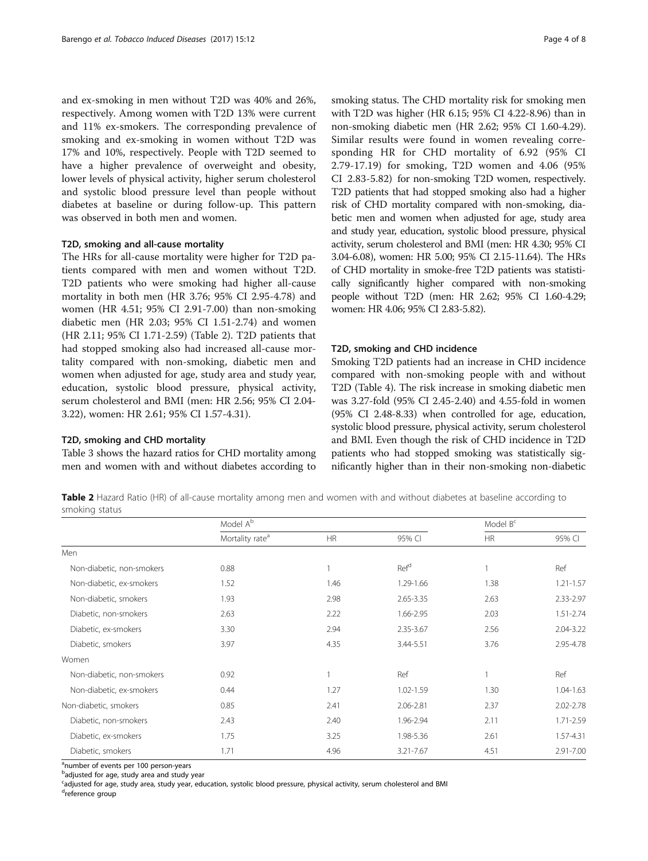and ex-smoking in men without T2D was 40% and 26%, respectively. Among women with T2D 13% were current and 11% ex-smokers. The corresponding prevalence of smoking and ex-smoking in women without T2D was 17% and 10%, respectively. People with T2D seemed to have a higher prevalence of overweight and obesity, lower levels of physical activity, higher serum cholesterol and systolic blood pressure level than people without diabetes at baseline or during follow-up. This pattern was observed in both men and women.

## T2D, smoking and all-cause mortality

The HRs for all-cause mortality were higher for T2D patients compared with men and women without T2D. T2D patients who were smoking had higher all-cause mortality in both men (HR 3.76; 95% CI 2.95-4.78) and women (HR 4.51; 95% CI 2.91-7.00) than non-smoking diabetic men (HR 2.03; 95% CI 1.51-2.74) and women (HR 2.11; 95% CI 1.71-2.59) (Table 2). T2D patients that had stopped smoking also had increased all-cause mortality compared with non-smoking, diabetic men and women when adjusted for age, study area and study year, education, systolic blood pressure, physical activity, serum cholesterol and BMI (men: HR 2.56; 95% CI 2.04- 3.22), women: HR 2.61; 95% CI 1.57-4.31).

## T2D, smoking and CHD mortality

Table [3](#page-4-0) shows the hazard ratios for CHD mortality among men and women with and without diabetes according to smoking status. The CHD mortality risk for smoking men with T2D was higher (HR 6.15; 95% CI 4.22-8.96) than in non-smoking diabetic men (HR 2.62; 95% CI 1.60-4.29). Similar results were found in women revealing corresponding HR for CHD mortality of 6.92 (95% CI 2.79-17.19) for smoking, T2D women and 4.06 (95% CI 2.83-5.82) for non-smoking T2D women, respectively. T2D patients that had stopped smoking also had a higher risk of CHD mortality compared with non-smoking, diabetic men and women when adjusted for age, study area and study year, education, systolic blood pressure, physical activity, serum cholesterol and BMI (men: HR 4.30; 95% CI 3.04-6.08), women: HR 5.00; 95% CI 2.15-11.64). The HRs of CHD mortality in smoke-free T2D patients was statistically significantly higher compared with non-smoking people without T2D (men: HR 2.62; 95% CI 1.60-4.29; women: HR 4.06; 95% CI 2.83-5.82).

#### T2D, smoking and CHD incidence

Smoking T2D patients had an increase in CHD incidence compared with non-smoking people with and without T2D (Table [4\)](#page-4-0). The risk increase in smoking diabetic men was 3.27-fold (95% CI 2.45-2.40) and 4.55-fold in women (95% CI 2.48-8.33) when controlled for age, education, systolic blood pressure, physical activity, serum cholesterol and BMI. Even though the risk of CHD incidence in T2D patients who had stopped smoking was statistically significantly higher than in their non-smoking non-diabetic

Table 2 Hazard Ratio (HR) of all-cause mortality among men and women with and without diabetes at baseline according to smoking status

|                           | Model A <sup>b</sup>        |           |                  | Model $B^c$ |               |
|---------------------------|-----------------------------|-----------|------------------|-------------|---------------|
|                           | Mortality rate <sup>a</sup> | <b>HR</b> | 95% CI           | <b>HR</b>   | 95% CI        |
| Men                       |                             |           |                  |             |               |
| Non-diabetic, non-smokers | 0.88                        |           | Ref <sup>d</sup> |             | Ref           |
| Non-diabetic, ex-smokers  | 1.52                        | 1.46      | 1.29-1.66        | 1.38        | $1.21 - 1.57$ |
| Non-diabetic, smokers     | 1.93                        | 2.98      | 2.65-3.35        | 2.63        | 2.33-2.97     |
| Diabetic, non-smokers     | 2.63                        | 2.22      | 1.66-2.95        | 2.03        | $1.51 - 2.74$ |
| Diabetic, ex-smokers      | 3.30                        | 2.94      | 2.35-3.67        | 2.56        | 2.04-3.22     |
| Diabetic, smokers         | 3.97                        | 4.35      | 3.44-5.51        | 3.76        | 2.95-4.78     |
| Women                     |                             |           |                  |             |               |
| Non-diabetic, non-smokers | 0.92                        |           | Ref              |             | Ref           |
| Non-diabetic, ex-smokers  | 0.44                        | 1.27      | 1.02-1.59        | 1.30        | $1.04 - 1.63$ |
| Non-diabetic, smokers     | 0.85                        | 2.41      | 2.06-2.81        | 2.37        | 2.02-2.78     |
| Diabetic, non-smokers     | 2.43                        | 2.40      | 1.96-2.94        | 2.11        | 1.71-2.59     |
| Diabetic, ex-smokers      | 1.75                        | 3.25      | 1.98-5.36        | 2.61        | 1.57-4.31     |
| Diabetic, smokers         | 1.71                        | 4.96      | 3.21-7.67        | 4.51        | 2.91-7.00     |

<sup>a</sup>number of events per 100 person-years

<sup>b</sup>adjusted for age, study area and study year

<sup>c</sup>adjusted for age, study area, study year, education, systolic blood pressure, physical activity, serum cholesterol and BMI

d<sub>reference group</sub>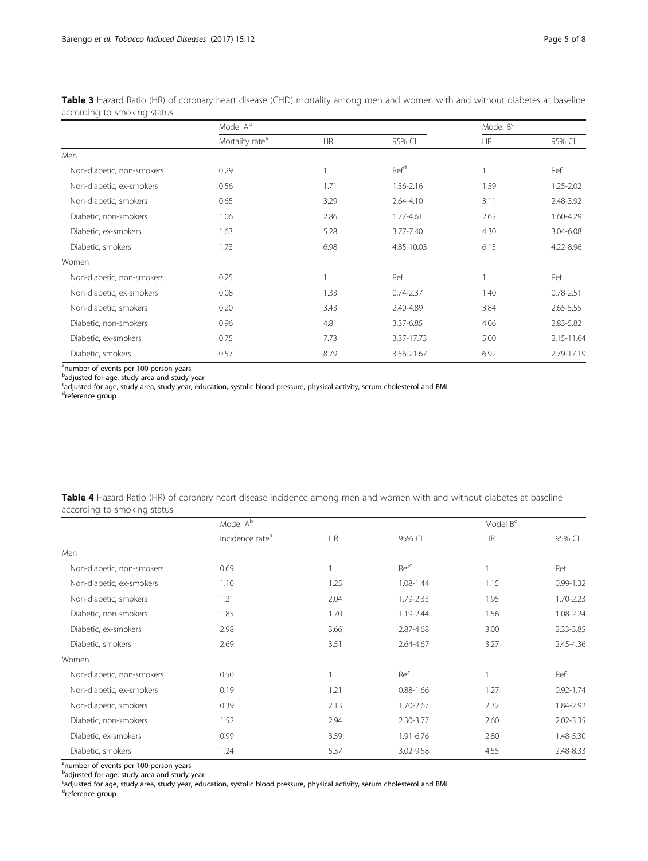|                           | Model A <sup>b</sup>        |           |                  | Model B <sup>c</sup> |               |
|---------------------------|-----------------------------|-----------|------------------|----------------------|---------------|
|                           | Mortality rate <sup>a</sup> | <b>HR</b> | 95% CI           | <b>HR</b>            | 95% CI        |
| Men                       |                             |           |                  |                      |               |
| Non-diabetic, non-smokers | 0.29                        |           | Ref <sup>d</sup> | 1                    | Ref           |
| Non-diabetic, ex-smokers  | 0.56                        | 1.71      | 1.36-2.16        | 1.59                 | 1.25-2.02     |
| Non-diabetic, smokers     | 0.65                        | 3.29      | 2.64-4.10        | 3.11                 | 2.48-3.92     |
| Diabetic, non-smokers     | 1.06                        | 2.86      | 1.77-4.61        | 2.62                 | 1.60-4.29     |
| Diabetic, ex-smokers      | 1.63                        | 5.28      | 3.77-7.40        | 4.30                 | 3.04-6.08     |
| Diabetic, smokers         | 1.73                        | 6.98      | 4.85-10.03       | 6.15                 | 4.22-8.96     |
| Women                     |                             |           |                  |                      |               |
| Non-diabetic, non-smokers | 0.25                        |           | Ref              | 1                    | Ref           |
| Non-diabetic, ex-smokers  | 0.08                        | 1.33      | $0.74 - 2.37$    | 1.40                 | $0.78 - 2.51$ |
| Non-diabetic, smokers     | 0.20                        | 3.43      | 2.40-4.89        | 3.84                 | 2.65-5.55     |
| Diabetic, non-smokers     | 0.96                        | 4.81      | 3.37-6.85        | 4.06                 | 2.83-5.82     |
| Diabetic, ex-smokers      | 0.75                        | 7.73      | 3.37-17.73       | 5.00                 | 2.15-11.64    |
| Diabetic, smokers         | 0.57                        | 8.79      | 3.56-21.67       | 6.92                 | 2.79-17.19    |

<span id="page-4-0"></span>Table 3 Hazard Ratio (HR) of coronary heart disease (CHD) mortality among men and women with and without diabetes at baseline according to smoking status

<sup>a</sup>number of events per 100 person-years

<sup>b</sup>adjusted for age, study area and study year

<sup>c</sup>adjusted for age, study area, study year, education, systolic blood pressure, physical activity, serum cholesterol and BMI

d<sub>reference group</sub>

Table 4 Hazard Ratio (HR) of coronary heart disease incidence among men and women with and without diabetes at baseline according to smoking status

|                           | Model A <sup>b</sup>        |      |                  | Model $B^c$ |               |
|---------------------------|-----------------------------|------|------------------|-------------|---------------|
|                           | Incidence rate <sup>a</sup> | HR   | 95% CI           | HR          | 95% CI        |
| Men                       |                             |      |                  |             |               |
| Non-diabetic, non-smokers | 0.69                        |      | Ref <sup>d</sup> |             | Ref           |
| Non-diabetic, ex-smokers  | 1.10                        | 1.25 | 1.08-1.44        | 1.15        | $0.99 - 1.32$ |
| Non-diabetic, smokers     | 1.21                        | 2.04 | 1.79-2.33        | 1.95        | 1.70-2.23     |
| Diabetic, non-smokers     | 1.85                        | 1.70 | 1.19-2.44        | 1.56        | 1.08-2.24     |
| Diabetic, ex-smokers      | 2.98                        | 3.66 | 2.87-4.68        | 3.00        | 2.33-3.85     |
| Diabetic, smokers         | 2.69                        | 3.51 | 2.64-4.67        | 3.27        | 2.45-4.36     |
| Women                     |                             |      |                  |             |               |
| Non-diabetic, non-smokers | 0.50                        |      | Ref              |             | Ref           |
| Non-diabetic, ex-smokers  | 0.19                        | 1.21 | $0.88 - 1.66$    | 1.27        | $0.92 - 1.74$ |
| Non-diabetic, smokers     | 0.39                        | 2.13 | 1.70-2.67        | 2.32        | 1.84-2.92     |
| Diabetic, non-smokers     | 1.52                        | 2.94 | 2.30-3.77        | 2.60        | 2.02-3.35     |
| Diabetic, ex-smokers      | 0.99                        | 3.59 | 1.91-6.76        | 2.80        | 1.48-5.30     |
| Diabetic, smokers         | 1.24                        | 5.37 | 3.02-9.58        | 4.55        | 2.48-8.33     |

<sup>a</sup>number of events per 100 person-years

<sup>b</sup>adjusted for age, study area and study year

<sup>c</sup>adjusted for age, study area, study year, education, systolic blood pressure, physical activity, serum cholesterol and BMI d<sub>reference group</sub>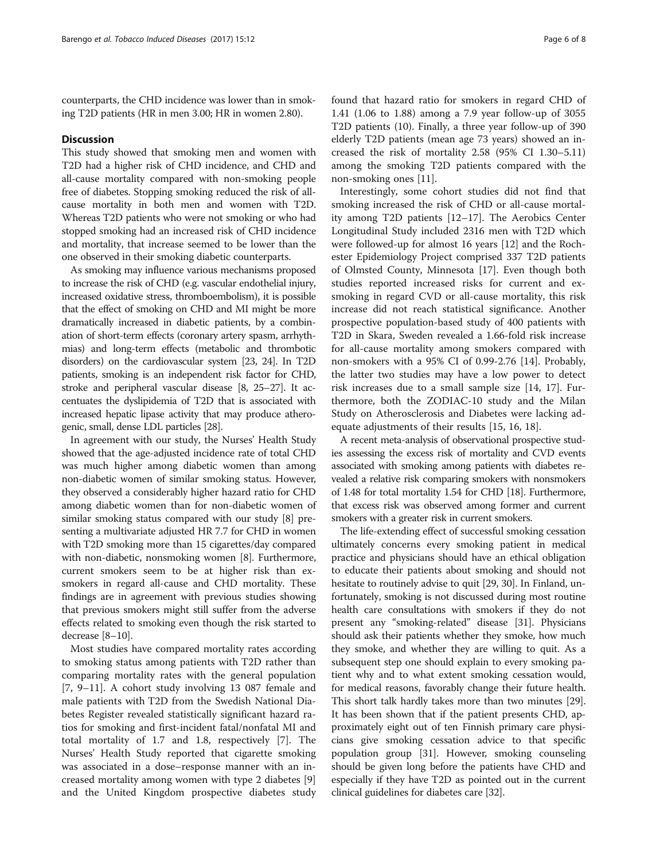counterparts, the CHD incidence was lower than in smoking T2D patients (HR in men 3.00; HR in women 2.80).

#### Discussion

This study showed that smoking men and women with T2D had a higher risk of CHD incidence, and CHD and all-cause mortality compared with non-smoking people free of diabetes. Stopping smoking reduced the risk of allcause mortality in both men and women with T2D. Whereas T2D patients who were not smoking or who had stopped smoking had an increased risk of CHD incidence and mortality, that increase seemed to be lower than the one observed in their smoking diabetic counterparts.

As smoking may influence various mechanisms proposed to increase the risk of CHD (e.g. vascular endothelial injury, increased oxidative stress, thromboembolism), it is possible that the effect of smoking on CHD and MI might be more dramatically increased in diabetic patients, by a combination of short-term effects (coronary artery spasm, arrhythmias) and long-term effects (metabolic and thrombotic disorders) on the cardiovascular system [\[23, 24](#page-7-0)]. In T2D patients, smoking is an independent risk factor for CHD, stroke and peripheral vascular disease [\[8](#page-6-0), [25](#page-7-0)–[27\]](#page-7-0). It accentuates the dyslipidemia of T2D that is associated with increased hepatic lipase activity that may produce atherogenic, small, dense LDL particles [\[28\]](#page-7-0).

In agreement with our study, the Nurses' Health Study showed that the age-adjusted incidence rate of total CHD was much higher among diabetic women than among non-diabetic women of similar smoking status. However, they observed a considerably higher hazard ratio for CHD among diabetic women than for non-diabetic women of similar smoking status compared with our study [\[8](#page-6-0)] presenting a multivariate adjusted HR 7.7 for CHD in women with T2D smoking more than 15 cigarettes/day compared with non-diabetic, nonsmoking women [[8\]](#page-6-0). Furthermore, current smokers seem to be at higher risk than exsmokers in regard all-cause and CHD mortality. These findings are in agreement with previous studies showing that previous smokers might still suffer from the adverse effects related to smoking even though the risk started to decrease [[8](#page-6-0)–[10\]](#page-6-0).

Most studies have compared mortality rates according to smoking status among patients with T2D rather than comparing mortality rates with the general population [[7, 9](#page-6-0)–[11\]](#page-6-0). A cohort study involving 13 087 female and male patients with T2D from the Swedish National Diabetes Register revealed statistically significant hazard ratios for smoking and first-incident fatal/nonfatal MI and total mortality of 1.7 and 1.8, respectively [[7\]](#page-6-0). The Nurses' Health Study reported that cigarette smoking was associated in a dose–response manner with an increased mortality among women with type 2 diabetes [\[9](#page-6-0)] and the United Kingdom prospective diabetes study found that hazard ratio for smokers in regard CHD of 1.41 (1.06 to 1.88) among a 7.9 year follow-up of 3055 T2D patients (10). Finally, a three year follow-up of 390 elderly T2D patients (mean age 73 years) showed an increased the risk of mortality 2.58 (95% CI 1.30–5.11) among the smoking T2D patients compared with the non-smoking ones [[11\]](#page-6-0).

Interestingly, some cohort studies did not find that smoking increased the risk of CHD or all-cause mortality among T2D patients [\[12](#page-6-0)–[17\]](#page-6-0). The Aerobics Center Longitudinal Study included 2316 men with T2D which were followed-up for almost 16 years [[12\]](#page-6-0) and the Rochester Epidemiology Project comprised 337 T2D patients of Olmsted County, Minnesota [\[17](#page-6-0)]. Even though both studies reported increased risks for current and exsmoking in regard CVD or all-cause mortality, this risk increase did not reach statistical significance. Another prospective population-based study of 400 patients with T2D in Skara, Sweden revealed a 1.66-fold risk increase for all-cause mortality among smokers compared with non-smokers with a 95% CI of 0.99-2.76 [[14](#page-6-0)]. Probably, the latter two studies may have a low power to detect risk increases due to a small sample size [[14](#page-6-0), [17\]](#page-6-0). Furthermore, both the ZODIAC-10 study and the Milan Study on Atherosclerosis and Diabetes were lacking adequate adjustments of their results [[15, 16](#page-6-0), [18](#page-6-0)].

A recent meta-analysis of observational prospective studies assessing the excess risk of mortality and CVD events associated with smoking among patients with diabetes revealed a relative risk comparing smokers with nonsmokers of 1.48 for total mortality 1.54 for CHD [\[18](#page-6-0)]. Furthermore, that excess risk was observed among former and current smokers with a greater risk in current smokers.

The life-extending effect of successful smoking cessation ultimately concerns every smoking patient in medical practice and physicians should have an ethical obligation to educate their patients about smoking and should not hesitate to routinely advise to quit [[29](#page-7-0), [30\]](#page-7-0). In Finland, unfortunately, smoking is not discussed during most routine health care consultations with smokers if they do not present any "smoking-related" disease [\[31\]](#page-7-0). Physicians should ask their patients whether they smoke, how much they smoke, and whether they are willing to quit. As a subsequent step one should explain to every smoking patient why and to what extent smoking cessation would, for medical reasons, favorably change their future health. This short talk hardly takes more than two minutes [[29](#page-7-0)]. It has been shown that if the patient presents CHD, approximately eight out of ten Finnish primary care physicians give smoking cessation advice to that specific population group [[31](#page-7-0)]. However, smoking counseling should be given long before the patients have CHD and especially if they have T2D as pointed out in the current clinical guidelines for diabetes care [\[32\]](#page-7-0).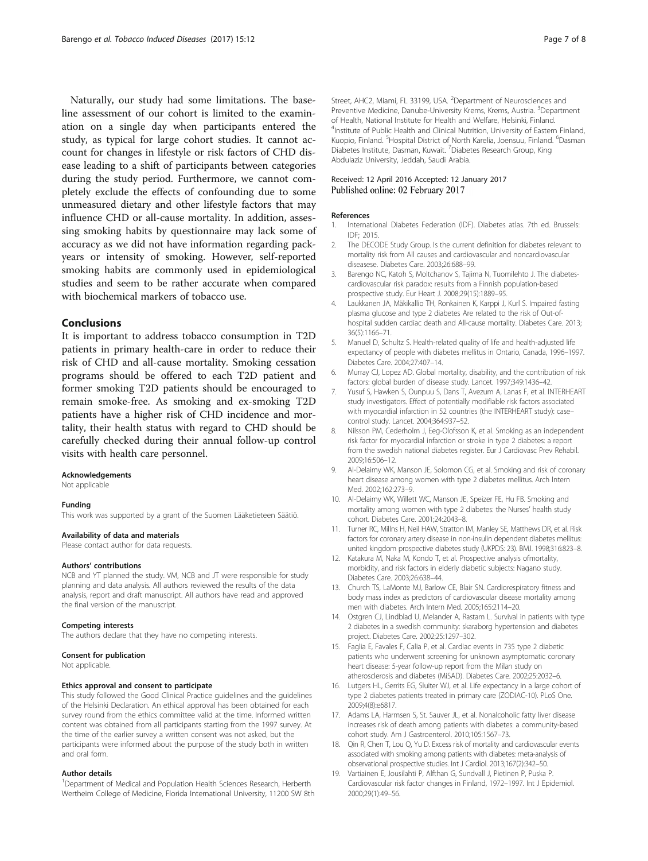<span id="page-6-0"></span>Naturally, our study had some limitations. The baseline assessment of our cohort is limited to the examination on a single day when participants entered the study, as typical for large cohort studies. It cannot account for changes in lifestyle or risk factors of CHD disease leading to a shift of participants between categories during the study period. Furthermore, we cannot completely exclude the effects of confounding due to some unmeasured dietary and other lifestyle factors that may influence CHD or all-cause mortality. In addition, assessing smoking habits by questionnaire may lack some of accuracy as we did not have information regarding packyears or intensity of smoking. However, self-reported smoking habits are commonly used in epidemiological studies and seem to be rather accurate when compared with biochemical markers of tobacco use.

#### Conclusions

It is important to address tobacco consumption in T2D patients in primary health-care in order to reduce their risk of CHD and all-cause mortality. Smoking cessation programs should be offered to each T2D patient and former smoking T2D patients should be encouraged to remain smoke-free. As smoking and ex-smoking T2D patients have a higher risk of CHD incidence and mortality, their health status with regard to CHD should be carefully checked during their annual follow-up control visits with health care personnel.

#### Acknowledgements

Not applicable

#### Funding

This work was supported by a grant of the Suomen Lääketieteen Säätiö.

#### Availability of data and materials

Please contact author for data requests.

#### Authors' contributions

NCB and YT planned the study. VM, NCB and JT were responsible for study planning and data analysis. All authors reviewed the results of the data analysis, report and draft manuscript. All authors have read and approved the final version of the manuscript.

#### Competing interests

The authors declare that they have no competing interests.

#### Consent for publication

Not applicable.

#### Ethics approval and consent to participate

This study followed the Good Clinical Practice guidelines and the guidelines of the Helsinki Declaration. An ethical approval has been obtained for each survey round from the ethics committee valid at the time. Informed written content was obtained from all participants starting from the 1997 survey. At the time of the earlier survey a written consent was not asked, but the participants were informed about the purpose of the study both in written and oral form.

#### Author details

<sup>1</sup>Department of Medical and Population Health Sciences Research, Herberth Wertheim College of Medicine, Florida International University, 11200 SW 8th

Street, AHC2, Miami, FL 33199, USA. <sup>2</sup>Department of Neurosciences and Preventive Medicine, Danube-University Krems, Krems, Austria. <sup>3</sup>Department of Health, National Institute for Health and Welfare, Helsinki, Finland. <sup>4</sup>Institute of Public Health and Clinical Nutrition, University of Eastern Finland, Kuopio, Finland. <sup>5</sup>Hospital District of North Karelia, Joensuu, Finland. <sup>6</sup>Dasman Diabetes Institute, Dasman, Kuwait. <sup>7</sup>Diabetes Research Group, King Abdulaziz University, Jeddah, Saudi Arabia.

#### Received: 12 April 2016 Accepted: 12 January 2017 Published online: 02 February 2017

#### References

- 1. International Diabetes Federation (IDF). Diabetes atlas. 7th ed. Brussels: IDF; 2015.
- 2. The DECODE Study Group. Is the current definition for diabetes relevant to mortality risk from All causes and cardiovascular and noncardiovascular diseasese. Diabetes Care. 2003;26:688–99.
- 3. Barengo NC, Katoh S, Moltchanov S, Tajima N, Tuomilehto J. The diabetescardiovascular risk paradox: results from a Finnish population-based prospective study. Eur Heart J. 2008;29(15):1889–95.
- 4. Laukkanen JA, Mäkikallio TH, Ronkainen K, Karppi J, Kurl S. Impaired fasting plasma glucose and type 2 diabetes Are related to the risk of Out-ofhospital sudden cardiac death and All-cause mortality. Diabetes Care. 2013; 36(5):1166–71.
- 5. Manuel D, Schultz S. Health-related quality of life and health-adjusted life expectancy of people with diabetes mellitus in Ontario, Canada, 1996–1997. Diabetes Care. 2004;27:407–14.
- Murray CJ, Lopez AD. Global mortality, disability, and the contribution of risk factors: global burden of disease study. Lancet. 1997;349:1436–42.
- 7. Yusuf S, Hawken S, Ounpuu S, Dans T, Avezum A, Lanas F, et al. INTERHEART study investigators. Effect of potentially modifiable risk factors associated with myocardial infarction in 52 countries (the INTERHEART study): casecontrol study. Lancet. 2004;364:937–52.
- Nilsson PM, Cederholm J, Eeg-Olofsson K, et al. Smoking as an independent risk factor for myocardial infarction or stroke in type 2 diabetes: a report from the swedish national diabetes register. Eur J Cardiovasc Prev Rehabil. 2009;16:506–12.
- 9. Al-Delaimy WK, Manson JE, Solomon CG, et al. Smoking and risk of coronary heart disease among women with type 2 diabetes mellitus. Arch Intern Med. 2002;162:273–9.
- 10. Al-Delaimy WK, Willett WC, Manson JE, Speizer FE, Hu FB. Smoking and mortality among women with type 2 diabetes: the Nurses' health study cohort. Diabetes Care. 2001;24:2043–8.
- 11. Turner RC, Millns H, Neil HAW, Stratton IM, Manley SE, Matthews DR, et al. Risk factors for coronary artery disease in non-insulin dependent diabetes mellitus: united kingdom prospective diabetes study (UKPDS: 23). BMJ. 1998;316:823–8.
- 12. Katakura M, Naka M, Kondo T, et al. Prospective analysis ofmortality, morbidity, and risk factors in elderly diabetic subjects: Nagano study. Diabetes Care. 2003;26:638–44.
- 13. Church TS, LaMonte MJ, Barlow CE, Blair SN. Cardiorespiratory fitness and body mass index as predictors of cardiovascular disease mortality among men with diabetes. Arch Intern Med. 2005;165:2114–20.
- 14. Ostgren CJ, Lindblad U, Melander A, Rastam L. Survival in patients with type 2 diabetes in a swedish community: skaraborg hypertension and diabetes project. Diabetes Care. 2002;25:1297–302.
- 15. Faglia E, Favales F, Calia P, et al. Cardiac events in 735 type 2 diabetic patients who underwent screening for unknown asymptomatic coronary heart disease: 5-year follow-up report from the Milan study on atherosclerosis and diabetes (MiSAD). Diabetes Care. 2002;25:2032–6.
- 16. Lutgers HL, Gerrits EG, Sluiter WJ, et al. Life expectancy in a large cohort of type 2 diabetes patients treated in primary care (ZODIAC-10). PLoS One. 2009;4(8):e6817.
- 17. Adams LA, Harmsen S, St. Sauver JL, et al. Nonalcoholic fatty liver disease increases risk of death among patients with diabetes: a community-based cohort study. Am J Gastroenterol. 2010;105:1567–73.
- 18. Qin R, Chen T, Lou Q, Yu D. Excess risk of mortality and cardiovascular events associated with smoking among patients with diabetes: meta-analysis of observational prospective studies. Int J Cardiol. 2013;167(2):342–50.
- 19. Vartiainen E, Jousilahti P, Alfthan G, Sundvall J, Pietinen P, Puska P. Cardiovascular risk factor changes in Finland, 1972–1997. Int J Epidemiol. 2000;29(1):49–56.